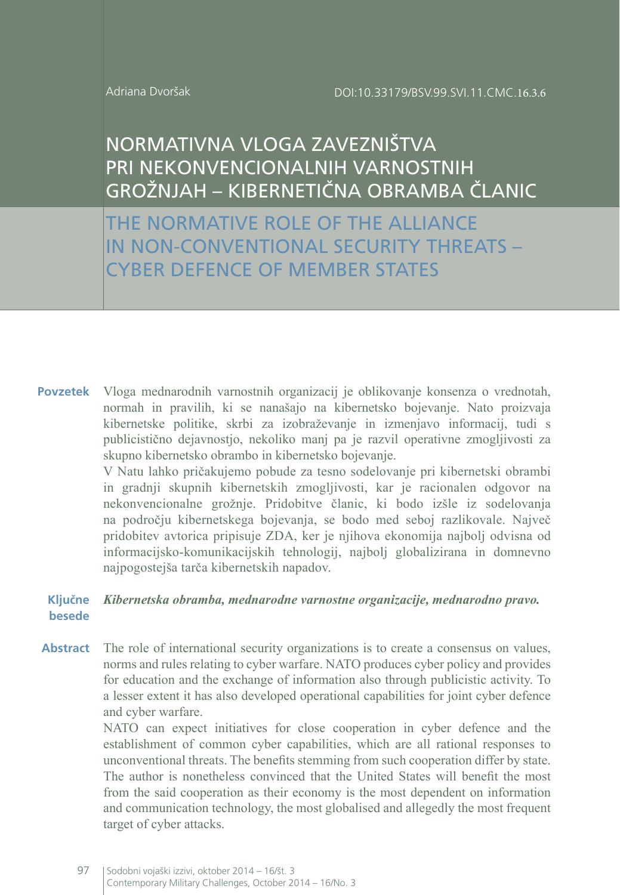# NORMATIVNA VLOGA ZAVEZNIŠTVA PRI NEKONVENCIONALNIH VARNOSTNIH GROŽNJAH – KIBERNETIČNA OBRAMBA ČLANIC

THE NORMATIVE ROLE OF THE ALLIANCE IN NON-CONVENTIONAL SECURITY THREATS – CYBER DEFENCE OF MEMBER STATES

Vloga mednarodnih varnostnih organizacij je oblikovanje konsenza o vrednotah, normah in pravilih, ki se nanašajo na kibernetsko bojevanje. Nato proizvaja kibernetske politike, skrbi za izobraževanje in izmenjavo informacij, tudi s publicistično dejavnostjo, nekoliko manj pa je razvil operativne zmogljivosti za skupno kibernetsko obrambo in kibernetsko bojevanje. **Povzetek**

V Natu lahko pričakujemo pobude za tesno sodelovanje pri kibernetski obrambi in gradnji skupnih kibernetskih zmogljivosti, kar je racionalen odgovor na nekonvencionalne grožnje. Pridobitve članic, ki bodo izšle iz sodelovanja na področju kibernetskega bojevanja, se bodo med seboj razlikovale. Največ pridobitev avtorica pripisuje ZDA, ker je njihova ekonomija najbolj odvisna od informacijsko-komunikacijskih tehnologij, najbolj globalizirana in domnevno najpogostejša tarča kibernetskih napadov.

#### *Kibernetska obramba, mednarodne varnostne organizacije, mednarodno pravo.* **Ključne besede**

The role of international security organizations is to create a consensus on values, norms and rules relating to cyber warfare. NATO produces cyber policy and provides for education and the exchange of information also through publicistic activity. To a lesser extent it has also developed operational capabilities for joint cyber defence and cyber warfare. **Abstract**

> NATO can expect initiatives for close cooperation in cyber defence and the establishment of common cyber capabilities, which are all rational responses to unconventional threats. The benefits stemming from such cooperation differ by state. The author is nonetheless convinced that the United States will benefit the most from the said cooperation as their economy is the most dependent on information and communication technology, the most globalised and allegedly the most frequent target of cyber attacks.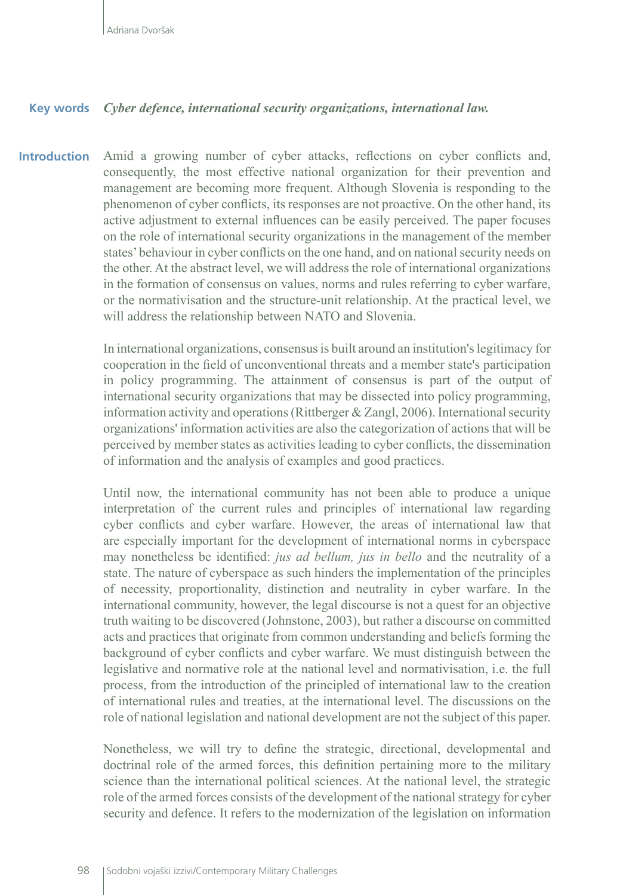#### **Key words** *Cyber defence, international security organizations, international law.*

**Introduction** Amid a growing number of cyber attacks, reflections on cyber conflicts and, consequently, the most effective national organization for their prevention and management are becoming more frequent. Although Slovenia is responding to the phenomenon of cyber conflicts, its responses are not proactive. On the other hand, its active adjustment to external influences can be easily perceived. The paper focuses on the role of international security organizations in the management of the member states' behaviour in cyber conflicts on the one hand, and on national security needs on the other. At the abstract level, we will address the role of international organizations in the formation of consensus on values, norms and rules referring to cyber warfare, or the normativisation and the structure-unit relationship. At the practical level, we will address the relationship between NATO and Slovenia.

> In international organizations, consensus is built around an institution's legitimacy for cooperation in the field of unconventional threats and a member state's participation in policy programming. The attainment of consensus is part of the output of international security organizations that may be dissected into policy programming, information activity and operations (Rittberger & Zangl, 2006). International security organizations' information activities are also the categorization of actions that will be perceived by member states as activities leading to cyber conflicts, the dissemination of information and the analysis of examples and good practices.

> Until now, the international community has not been able to produce a unique interpretation of the current rules and principles of international law regarding cyber conflicts and cyber warfare. However, the areas of international law that are especially important for the development of international norms in cyberspace may nonetheless be identified: *jus ad bellum, jus in bello* and the neutrality of a state. The nature of cyberspace as such hinders the implementation of the principles of necessity, proportionality, distinction and neutrality in cyber warfare. In the international community, however, the legal discourse is not a quest for an objective truth waiting to be discovered (Johnstone, 2003), but rather a discourse on committed acts and practices that originate from common understanding and beliefs forming the background of cyber conflicts and cyber warfare. We must distinguish between the legislative and normative role at the national level and normativisation, i.e. the full process, from the introduction of the principled of international law to the creation of international rules and treaties, at the international level. The discussions on the role of national legislation and national development are not the subject of this paper.

> Nonetheless, we will try to define the strategic, directional, developmental and doctrinal role of the armed forces, this definition pertaining more to the military science than the international political sciences. At the national level, the strategic role of the armed forces consists of the development of the national strategy for cyber security and defence. It refers to the modernization of the legislation on information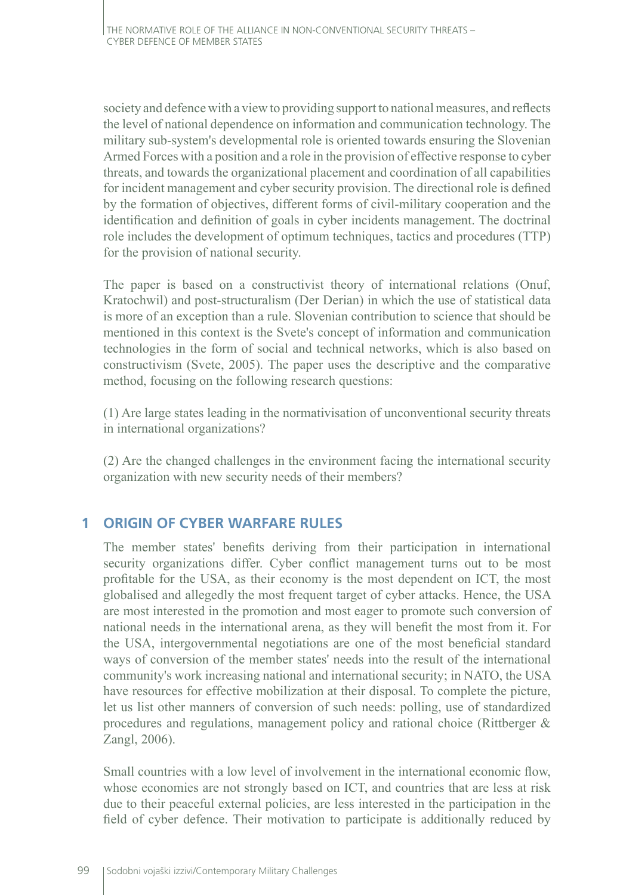society and defence with a view to providing support to national measures, and reflects the level of national dependence on information and communication technology. The military sub-system's developmental role is oriented towards ensuring the Slovenian Armed Forces with a position and a role in the provision of effective response to cyber threats, and towards the organizational placement and coordination of all capabilities for incident management and cyber security provision. The directional role is defined by the formation of objectives, different forms of civil-military cooperation and the identification and definition of goals in cyber incidents management. The doctrinal role includes the development of optimum techniques, tactics and procedures (TTP) for the provision of national security.

The paper is based on a constructivist theory of international relations (Onuf, Kratochwil) and post-structuralism (Der Derian) in which the use of statistical data is more of an exception than a rule. Slovenian contribution to science that should be mentioned in this context is the Svete's concept of information and communication technologies in the form of social and technical networks, which is also based on constructivism (Svete, 2005). The paper uses the descriptive and the comparative method, focusing on the following research questions:

(1) Are large states leading in the normativisation of unconventional security threats in international organizations?

(2) Are the changed challenges in the environment facing the international security organization with new security needs of their members?

## **1 ORIGIN OF CYBER WARFARE RULES**

The member states' benefits deriving from their participation in international security organizations differ. Cyber conflict management turns out to be most profitable for the USA, as their economy is the most dependent on ICT, the most globalised and allegedly the most frequent target of cyber attacks. Hence, the USA are most interested in the promotion and most eager to promote such conversion of national needs in the international arena, as they will benefit the most from it. For the USA, intergovernmental negotiations are one of the most beneficial standard ways of conversion of the member states' needs into the result of the international community's work increasing national and international security; in NATO, the USA have resources for effective mobilization at their disposal. To complete the picture, let us list other manners of conversion of such needs: polling, use of standardized procedures and regulations, management policy and rational choice (Rittberger & Zangl, 2006).

Small countries with a low level of involvement in the international economic flow, whose economies are not strongly based on ICT, and countries that are less at risk due to their peaceful external policies, are less interested in the participation in the field of cyber defence. Their motivation to participate is additionally reduced by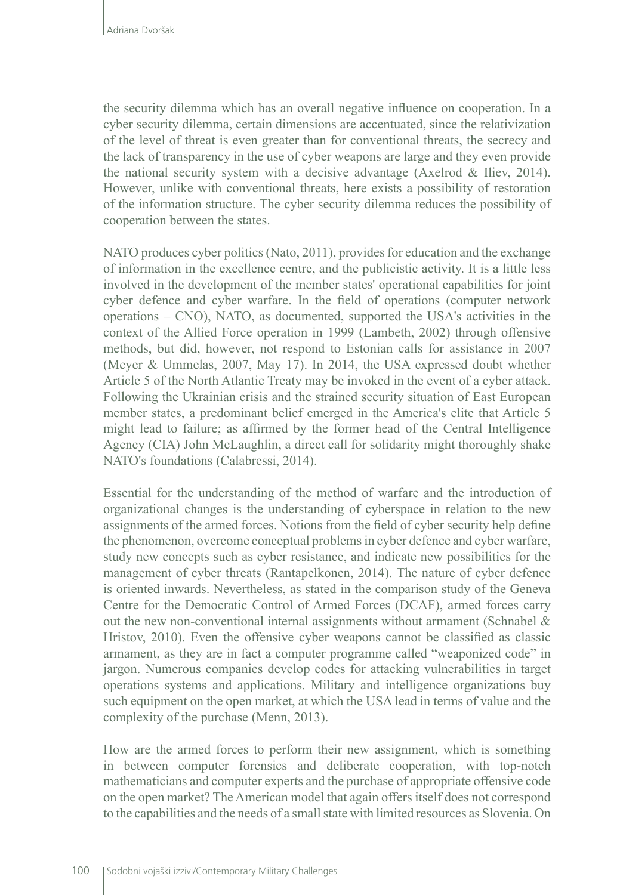the security dilemma which has an overall negative influence on cooperation. In a cyber security dilemma, certain dimensions are accentuated, since the relativization of the level of threat is even greater than for conventional threats, the secrecy and the lack of transparency in the use of cyber weapons are large and they even provide the national security system with a decisive advantage (Axelrod  $&$  Iliev, 2014). However, unlike with conventional threats, here exists a possibility of restoration of the information structure. The cyber security dilemma reduces the possibility of cooperation between the states.

NATO produces cyber politics (Nato, 2011), provides for education and the exchange of information in the excellence centre, and the publicistic activity. It is a little less involved in the development of the member states' operational capabilities for joint cyber defence and cyber warfare. In the field of operations (computer network operations – CNO), NATO, as documented, supported the USA's activities in the context of the Allied Force operation in 1999 (Lambeth, 2002) through offensive methods, but did, however, not respond to Estonian calls for assistance in 2007 (Meyer & Ummelas, 2007, May 17). In 2014, the USA expressed doubt whether Article 5 of the North Atlantic Treaty may be invoked in the event of a cyber attack. Following the Ukrainian crisis and the strained security situation of East European member states, a predominant belief emerged in the America's elite that Article 5 might lead to failure; as affirmed by the former head of the Central Intelligence Agency (CIA) John McLaughlin, a direct call for solidarity might thoroughly shake NATO's foundations (Calabressi, 2014).

Essential for the understanding of the method of warfare and the introduction of organizational changes is the understanding of cyberspace in relation to the new assignments of the armed forces. Notions from the field of cyber security help define the phenomenon, overcome conceptual problems in cyber defence and cyber warfare, study new concepts such as cyber resistance, and indicate new possibilities for the management of cyber threats (Rantapelkonen, 2014). The nature of cyber defence is oriented inwards. Nevertheless, as stated in the comparison study of the Geneva Centre for the Democratic Control of Armed Forces (DCAF), armed forces carry out the new non-conventional internal assignments without armament (Schnabel  $\&$ Hristov, 2010). Even the offensive cyber weapons cannot be classified as classic armament, as they are in fact a computer programme called "weaponized code" in jargon. Numerous companies develop codes for attacking vulnerabilities in target operations systems and applications. Military and intelligence organizations buy such equipment on the open market, at which the USA lead in terms of value and the complexity of the purchase (Menn, 2013).

How are the armed forces to perform their new assignment, which is something in between computer forensics and deliberate cooperation, with top-notch mathematicians and computer experts and the purchase of appropriate offensive code on the open market? The American model that again offers itself does not correspond to the capabilities and the needs of a small state with limited resources as Slovenia. On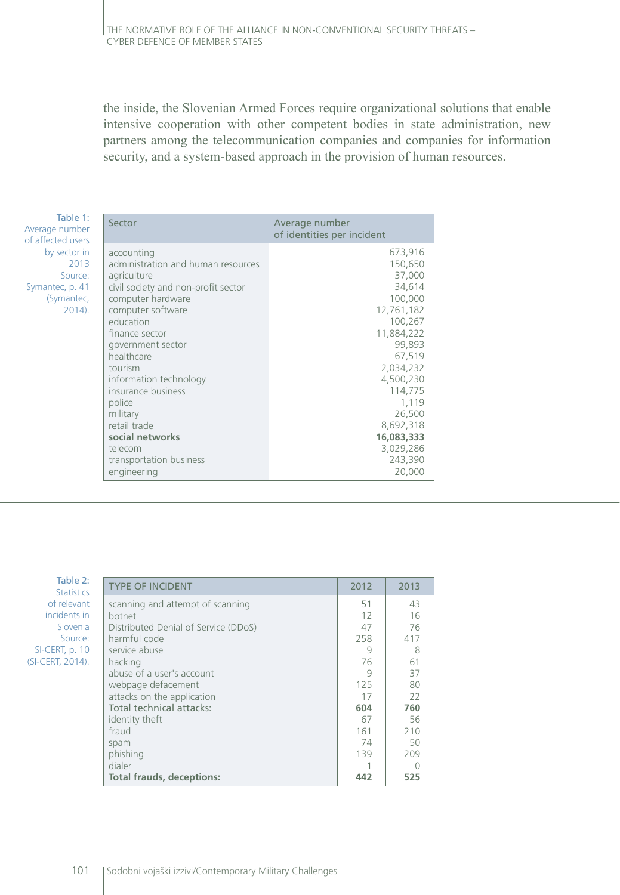the inside, the Slovenian Armed Forces require organizational solutions that enable intensive cooperation with other competent bodies in state administration, new partners among the telecommunication companies and companies for information security, and a system-based approach in the provision of human resources.

| Table 1:<br>Average number | Sector                              | Average number<br>of identities per incident |  |
|----------------------------|-------------------------------------|----------------------------------------------|--|
| of affected users          |                                     |                                              |  |
| by sector in               | accounting                          | 673,916                                      |  |
| 2013                       | administration and human resources  | 150,650                                      |  |
| Source:                    | agriculture                         | 37,000                                       |  |
| Symantec, p. 41            | civil society and non-profit sector | 34,614                                       |  |
| (Symantec,                 | computer hardware                   | 100,000                                      |  |
| $2014$ ).                  | computer software                   | 12,761,182                                   |  |
|                            | education                           | 100,267                                      |  |
|                            | finance sector                      | 11,884,222                                   |  |
|                            | government sector                   | 99,893                                       |  |
|                            | healthcare                          | 67,519                                       |  |
|                            | tourism                             | 2,034,232                                    |  |
|                            | information technology              | 4,500,230                                    |  |
|                            | insurance business                  | 114,775                                      |  |
|                            | police                              | 1,119                                        |  |
|                            | military                            | 26,500                                       |  |
|                            | retail trade                        | 8,692,318                                    |  |
|                            | social networks                     | 16,083,333                                   |  |
|                            | telecom                             | 3,029,286                                    |  |
|                            | transportation business             | 243,390                                      |  |
|                            | engineering                         | 20,000                                       |  |

| Table 2:<br><b>Statistics</b> | <b>TYPE OF INCIDENT</b>              | 2012 | 2013 |
|-------------------------------|--------------------------------------|------|------|
| of relevant                   | scanning and attempt of scanning     | 51   | 43   |
| incidents in                  | botnet                               | 12   | 16   |
| Slovenia                      | Distributed Denial of Service (DDoS) | 47   | 76   |
| Source:                       | harmful code                         | 258  | 417  |
| SI-CERT, p. 10                | service abuse                        | 9    | 8    |
| (SI-CERT, 2014).              | hacking                              | 76   | 61   |
|                               | abuse of a user's account            | 9    | 37   |
|                               | webpage defacement                   | 125  | 80   |
|                               | attacks on the application           | 17   | 22   |
|                               | Total technical attacks:             | 604  | 760  |
|                               | identity theft                       | 67   | 56   |
|                               | fraud                                | 161  | 210  |
|                               | spam                                 | 74   | 50   |
|                               | phishing                             | 139  | 209  |
|                               | dialer                               |      | Ω    |
|                               | <b>Total frauds, deceptions:</b>     | 442  | 525  |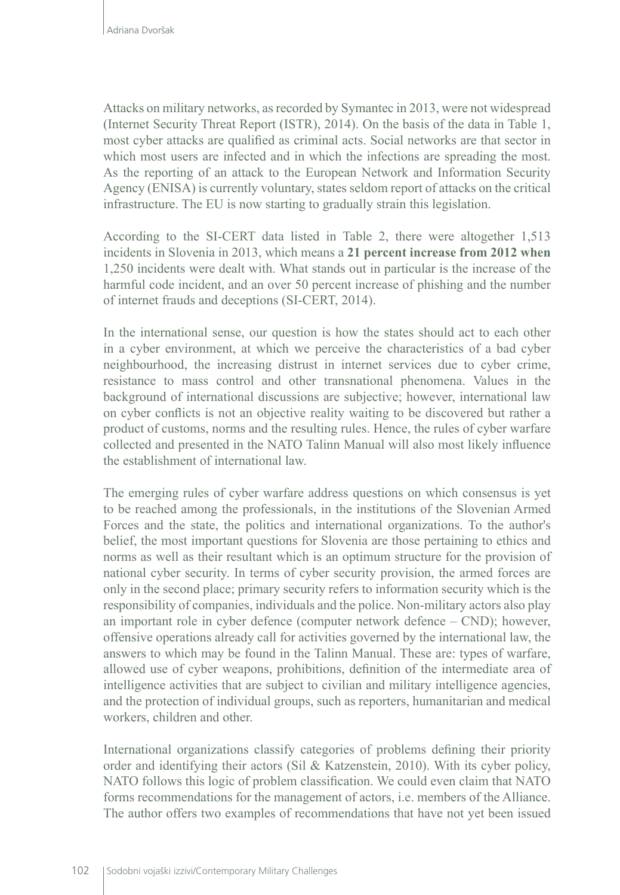Attacks on military networks, as recorded by Symantec in 2013, were not widespread (Internet Security Threat Report (ISTR), 2014). On the basis of the data in Table 1, most cyber attacks are qualified as criminal acts. Social networks are that sector in which most users are infected and in which the infections are spreading the most. As the reporting of an attack to the European Network and Information Security Agency (ENISA) is currently voluntary, states seldom report of attacks on the critical infrastructure. The EU is now starting to gradually strain this legislation.

According to the SI-CERT data listed in Table 2, there were altogether 1,513 incidents in Slovenia in 2013, which means a **21 percent increase from 2012 when**  1,250 incidents were dealt with. What stands out in particular is the increase of the harmful code incident, and an over 50 percent increase of phishing and the number of internet frauds and deceptions (SI-CERT, 2014).

In the international sense, our question is how the states should act to each other in a cyber environment, at which we perceive the characteristics of a bad cyber neighbourhood, the increasing distrust in internet services due to cyber crime, resistance to mass control and other transnational phenomena. Values in the background of international discussions are subjective; however, international law on cyber conflicts is not an objective reality waiting to be discovered but rather a product of customs, norms and the resulting rules. Hence, the rules of cyber warfare collected and presented in the NATO Talinn Manual will also most likely influence the establishment of international law.

The emerging rules of cyber warfare address questions on which consensus is yet to be reached among the professionals, in the institutions of the Slovenian Armed Forces and the state, the politics and international organizations. To the author's belief, the most important questions for Slovenia are those pertaining to ethics and norms as well as their resultant which is an optimum structure for the provision of national cyber security. In terms of cyber security provision, the armed forces are only in the second place; primary security refers to information security which is the responsibility of companies, individuals and the police. Non-military actors also play an important role in cyber defence (computer network defence – CND); however, offensive operations already call for activities governed by the international law, the answers to which may be found in the Talinn Manual. These are: types of warfare, allowed use of cyber weapons, prohibitions, definition of the intermediate area of intelligence activities that are subject to civilian and military intelligence agencies, and the protection of individual groups, such as reporters, humanitarian and medical workers, children and other.

International organizations classify categories of problems defining their priority order and identifying their actors (Sil & Katzenstein, 2010). With its cyber policy, NATO follows this logic of problem classification. We could even claim that NATO forms recommendations for the management of actors, i.e. members of the Alliance. The author offers two examples of recommendations that have not yet been issued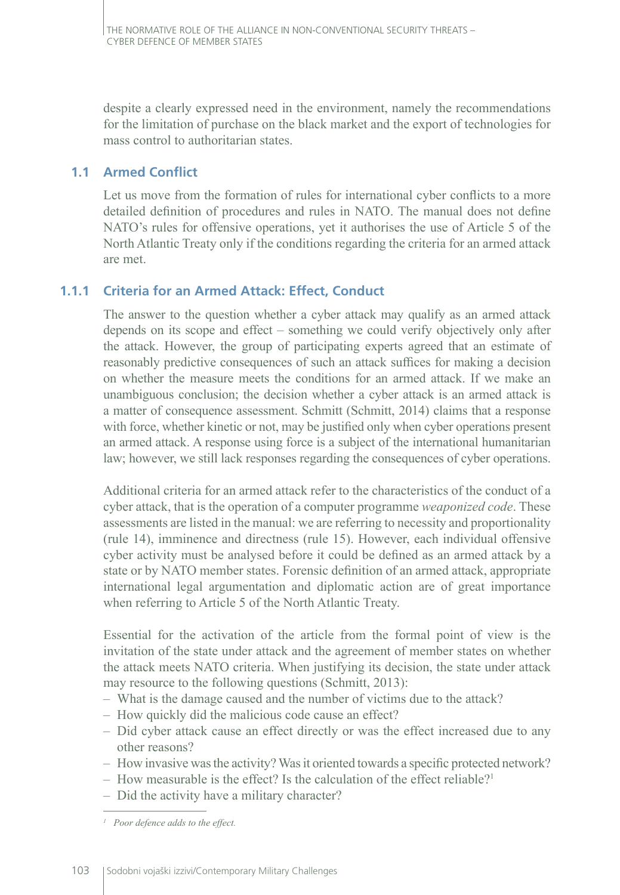despite a clearly expressed need in the environment, namely the recommendations for the limitation of purchase on the black market and the export of technologies for mass control to authoritarian states.

### **1.1 Armed Conflict**

Let us move from the formation of rules for international cyber conflicts to a more detailed definition of procedures and rules in NATO. The manual does not define NATO's rules for offensive operations, yet it authorises the use of Article 5 of the North Atlantic Treaty only if the conditions regarding the criteria for an armed attack are met.

## **1.1.1 Criteria for an Armed Attack: Effect, Conduct**

The answer to the question whether a cyber attack may qualify as an armed attack depends on its scope and effect – something we could verify objectively only after the attack. However, the group of participating experts agreed that an estimate of reasonably predictive consequences of such an attack suffices for making a decision on whether the measure meets the conditions for an armed attack. If we make an unambiguous conclusion; the decision whether a cyber attack is an armed attack is a matter of consequence assessment. Schmitt (Schmitt, 2014) claims that a response with force, whether kinetic or not, may be justified only when cyber operations present an armed attack. A response using force is a subject of the international humanitarian law; however, we still lack responses regarding the consequences of cyber operations.

Additional criteria for an armed attack refer to the characteristics of the conduct of a cyber attack, that is the operation of a computer programme *weaponized code*. These assessments are listed in the manual: we are referring to necessity and proportionality (rule 14), imminence and directness (rule 15). However, each individual offensive cyber activity must be analysed before it could be defined as an armed attack by a state or by NATO member states. Forensic definition of an armed attack, appropriate international legal argumentation and diplomatic action are of great importance when referring to Article 5 of the North Atlantic Treaty.

Essential for the activation of the article from the formal point of view is the invitation of the state under attack and the agreement of member states on whether the attack meets NATO criteria. When justifying its decision, the state under attack may resource to the following questions (Schmitt, 2013):

- What is the damage caused and the number of victims due to the attack?
- How quickly did the malicious code cause an effect?
- Did cyber attack cause an effect directly or was the effect increased due to any other reasons?
- How invasive was the activity? Was it oriented towards a specific protected network?
- How measurable is the effect? Is the calculation of the effect reliable?1
- Did the activity have a military character?

*<sup>1</sup> Poor defence adds to the effect.*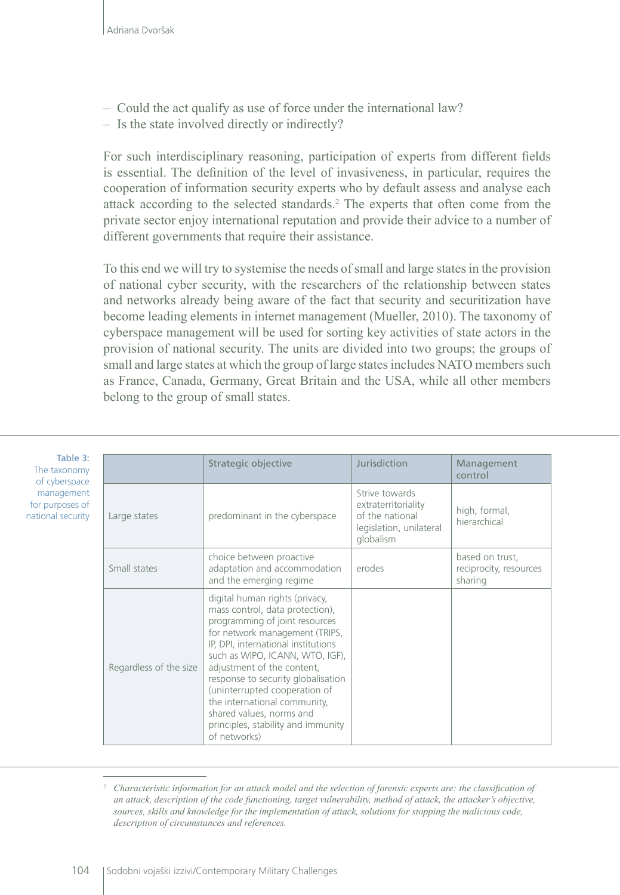nati

- Could the act qualify as use of force under the international law?
- Is the state involved directly or indirectly?

For such interdisciplinary reasoning, participation of experts from different fields is essential. The definition of the level of invasiveness, in particular, requires the cooperation of information security experts who by default assess and analyse each attack according to the selected standards.2 The experts that often come from the private sector enjoy international reputation and provide their advice to a number of different governments that require their assistance.

To this end we will try to systemise the needs of small and large states in the provision of national cyber security, with the researchers of the relationship between states and networks already being aware of the fact that security and securitization have become leading elements in internet management (Mueller, 2010). The taxonomy of cyberspace management will be used for sorting key activities of state actors in the provision of national security. The units are divided into two groups; the groups of small and large states at which the group of large states includes NATO members such as France, Canada, Germany, Great Britain and the USA, while all other members belong to the group of small states.

| Table 3:<br>The taxonomy<br>of cyberspace         |                        | Strategic objective                                                                                                                                                                                                                                                                                                                                                                                                                    | Jurisdiction                                                                                     | Management<br>control                                |
|---------------------------------------------------|------------------------|----------------------------------------------------------------------------------------------------------------------------------------------------------------------------------------------------------------------------------------------------------------------------------------------------------------------------------------------------------------------------------------------------------------------------------------|--------------------------------------------------------------------------------------------------|------------------------------------------------------|
| management<br>for purposes of<br>ational security | Large states           | predominant in the cyberspace                                                                                                                                                                                                                                                                                                                                                                                                          | Strive towards<br>extraterritoriality<br>of the national<br>legislation, unilateral<br>globalism | high, formal,<br>hierarchical                        |
|                                                   | Small states           | choice between proactive<br>adaptation and accommodation<br>and the emerging regime                                                                                                                                                                                                                                                                                                                                                    | erodes                                                                                           | based on trust,<br>reciprocity, resources<br>sharing |
|                                                   | Regardless of the size | digital human rights (privacy,<br>mass control, data protection),<br>programming of joint resources<br>for network management (TRIPS,<br>IP, DPI, international institutions<br>such as WIPO, ICANN, WTO, IGF),<br>adjustment of the content,<br>response to security globalisation<br>(uninterrupted cooperation of<br>the international community,<br>shared values, norms and<br>principles, stability and immunity<br>of networks) |                                                                                                  |                                                      |

<sup>&</sup>lt;sup>2</sup> Characteristic information for an attack model and the selection of forensic experts are: the classification of *an attack, description of the code functioning, target vulnerability, method of attack, the attacker's objective, sources, skills and knowledge for the implementation of attack, solutions for stopping the malicious code, description of circumstances and references.*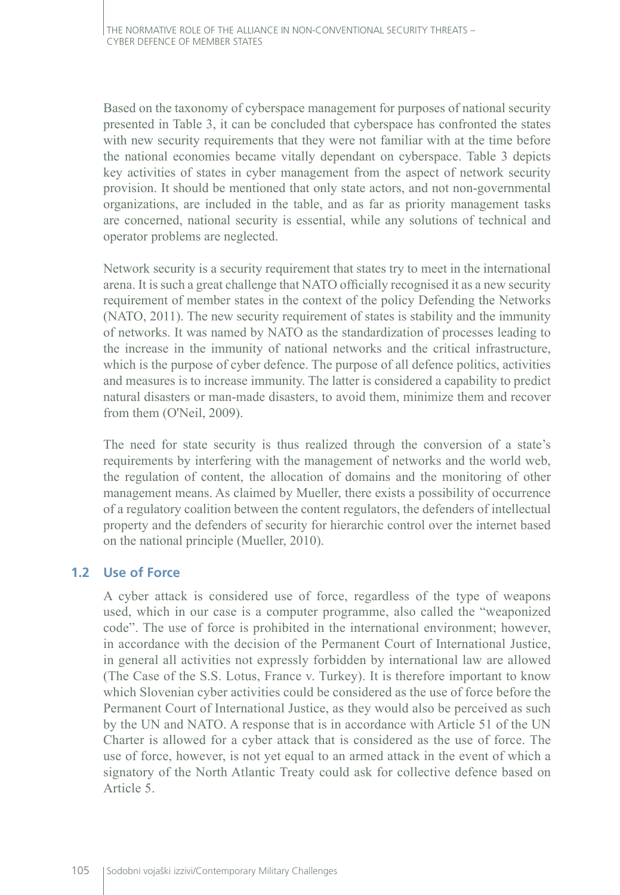Based on the taxonomy of cyberspace management for purposes of national security presented in Table 3, it can be concluded that cyberspace has confronted the states with new security requirements that they were not familiar with at the time before the national economies became vitally dependant on cyberspace. Table 3 depicts key activities of states in cyber management from the aspect of network security provision. It should be mentioned that only state actors, and not non-governmental organizations, are included in the table, and as far as priority management tasks are concerned, national security is essential, while any solutions of technical and operator problems are neglected.

Network security is a security requirement that states try to meet in the international arena. It is such a great challenge that NATO officially recognised it as a new security requirement of member states in the context of the policy Defending the Networks (NATO, 2011). The new security requirement of states is stability and the immunity of networks. It was named by NATO as the standardization of processes leading to the increase in the immunity of national networks and the critical infrastructure, which is the purpose of cyber defence. The purpose of all defence politics, activities and measures is to increase immunity. The latter is considered a capability to predict natural disasters or man-made disasters, to avoid them, minimize them and recover from them (O'Neil, 2009).

The need for state security is thus realized through the conversion of a state's requirements by interfering with the management of networks and the world web, the regulation of content, the allocation of domains and the monitoring of other management means. As claimed by Mueller, there exists a possibility of occurrence of a regulatory coalition between the content regulators, the defenders of intellectual property and the defenders of security for hierarchic control over the internet based on the national principle (Mueller, 2010).

#### **1.2 Use of Force**

A cyber attack is considered use of force, regardless of the type of weapons used, which in our case is a computer programme, also called the "weaponized code". The use of force is prohibited in the international environment; however, in accordance with the decision of the Permanent Court of International Justice, in general all activities not expressly forbidden by international law are allowed (The Case of the S.S. Lotus, France v. Turkey). It is therefore important to know which Slovenian cyber activities could be considered as the use of force before the Permanent Court of International Justice, as they would also be perceived as such by the UN and NATO. A response that is in accordance with Article 51 of the UN Charter is allowed for a cyber attack that is considered as the use of force. The use of force, however, is not yet equal to an armed attack in the event of which a signatory of the North Atlantic Treaty could ask for collective defence based on Article 5.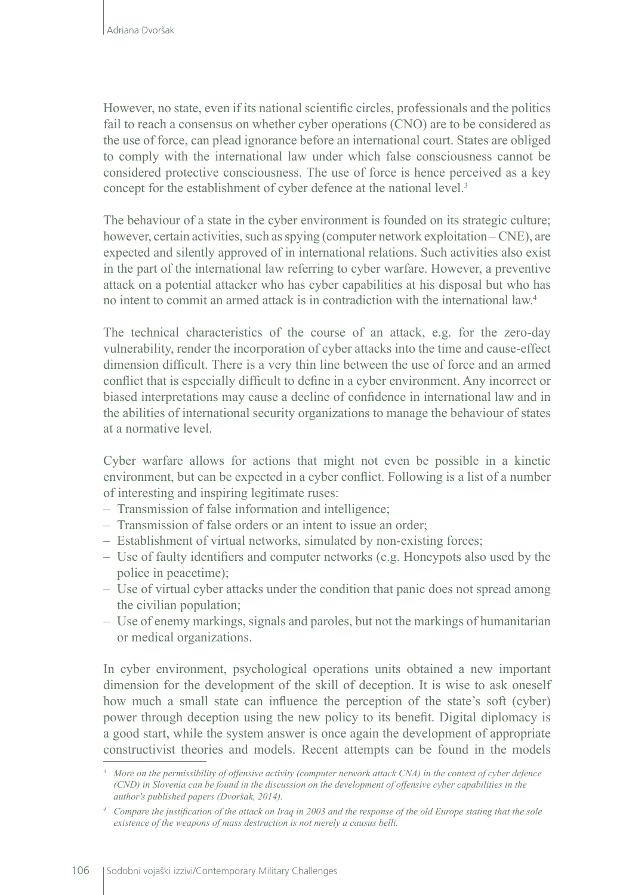However, no state, even if its national scientific circles, professionals and the politics fail to reach a consensus on whether cyber operations (CNO) are to be considered as the use of force, can plead ignorance before an international court. States are obliged to comply with the international law under which false consciousness cannot be considered protective consciousness. The use of force is hence perceived as a key concept for the establishment of cyber defence at the national level.<sup>3</sup>

The behaviour of a state in the cyber environment is founded on its strategic culture; however, certain activities, such as spying (computer network exploitation – CNE), are expected and silently approved of in international relations. Such activities also exist in the part of the international law referring to cyber warfare. However, a preventive attack on a potential attacker who has cyber capabilities at his disposal but who has no intent to commit an armed attack is in contradiction with the international law.4

The technical characteristics of the course of an attack, e.g. for the zero-day vulnerability, render the incorporation of cyber attacks into the time and cause-effect dimension difficult. There is a very thin line between the use of force and an armed conflict that is especially difficult to define in a cyber environment. Any incorrect or biased interpretations may cause a decline of confidence in international law and in the abilities of international security organizations to manage the behaviour of states at a normative level.

Cyber warfare allows for actions that might not even be possible in a kinetic environment, but can be expected in a cyber conflict. Following is a list of a number of interesting and inspiring legitimate ruses:

- Transmission of false information and intelligence;
- Transmission of false orders or an intent to issue an order;
- Establishment of virtual networks, simulated by non-existing forces;
- Use of faulty identifiers and computer networks (e.g. Honeypots also used by the police in peacetime);
- Use of virtual cyber attacks under the condition that panic does not spread among the civilian population;
- Use of enemy markings, signals and paroles, but not the markings of humanitarian or medical organizations.

In cyber environment, psychological operations units obtained a new important dimension for the development of the skill of deception. It is wise to ask oneself how much a small state can influence the perception of the state's soft (cyber) power through deception using the new policy to its benefit. Digital diplomacy is a good start, while the system answer is once again the development of appropriate constructivist theories and models. Recent attempts can be found in the models

*<sup>3</sup> More on the permissibility of offensive activity (computer network attack CNA) in the context of cyber defence (CND) in Slovenia can be found in the discussion on the development of offensive cyber capabilities in the author's published papers (Dvoršak, 2014).*

*<sup>4</sup> Compare the justification of the attack on Iraq in 2003 and the response of the old Europe stating that the sole existence of the weapons of mass destruction is not merely a causus belli.*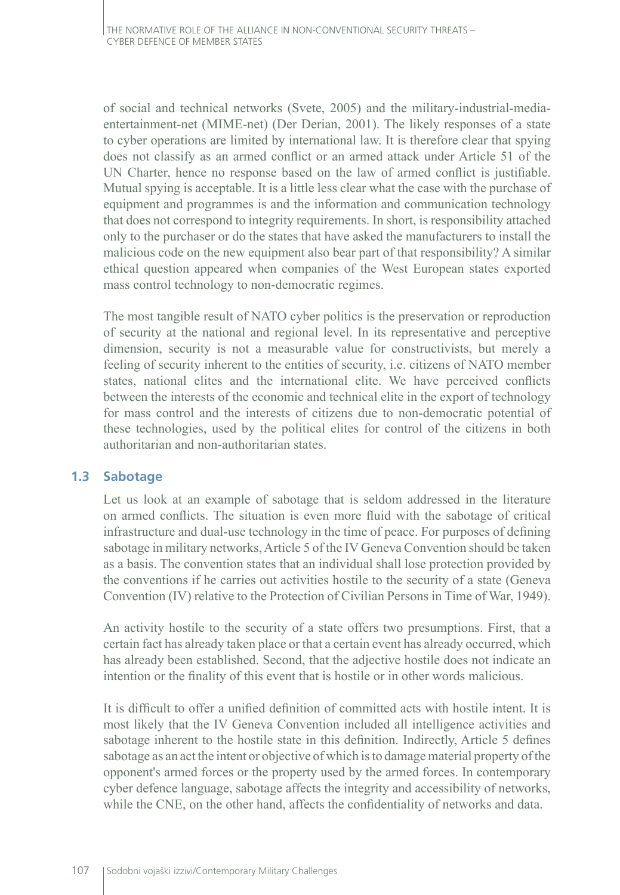of social and technical networks (Svete, 2005) and the military-industrial-mediaentertainment-net (MIME-net) (Der Derian, 2001). The likely responses of a state to cyber operations are limited by international law. It is therefore clear that spying does not classify as an armed conflict or an armed attack under Article 51 of the UN Charter, hence no response based on the law of armed conflict is justifiable. Mutual spying is acceptable. It is a little less clear what the case with the purchase of equipment and programmes is and the information and communication technology that does not correspond to integrity requirements. In short, is responsibility attached only to the purchaser or do the states that have asked the manufacturers to install the malicious code on the new equipment also bear part of that responsibility? A similar ethical question appeared when companies of the West European states exported mass control technology to non-democratic regimes.

The most tangible result of NATO cyber politics is the preservation or reproduction of security at the national and regional level. In its representative and perceptive dimension, security is not a measurable value for constructivists, but merely a feeling of security inherent to the entities of security, i.e. citizens of NATO member states, national elites and the international elite. We have perceived conflicts between the interests of the economic and technical elite in the export of technology for mass control and the interests of citizens due to non-democratic potential of these technologies, used by the political elites for control of the citizens in both authoritarian and non-authoritarian states.

#### **1.3 Sabotage**

Let us look at an example of sabotage that is seldom addressed in the literature on armed conflicts. The situation is even more fluid with the sabotage of critical infrastructure and dual-use technology in the time of peace. For purposes of defining sabotage in military networks, Article 5 of the IV Geneva Convention should be taken as a basis. The convention states that an individual shall lose protection provided by the conventions if he carries out activities hostile to the security of a state (Geneva Convention (IV) relative to the Protection of Civilian Persons in Time of War, 1949).

An activity hostile to the security of a state offers two presumptions. First, that a certain fact has already taken place or that a certain event has already occurred, which has already been established. Second, that the adjective hostile does not indicate an intention or the finality of this event that is hostile or in other words malicious.

It is difficult to offer a unified definition of committed acts with hostile intent. It is most likely that the IV Geneva Convention included all intelligence activities and sabotage inherent to the hostile state in this definition. Indirectly, Article 5 defines sabotage as an act the intent or objective of which is to damage material property of the opponent's armed forces or the property used by the armed forces. In contemporary cyber defence language, sabotage affects the integrity and accessibility of networks, while the CNE, on the other hand, affects the confidentiality of networks and data.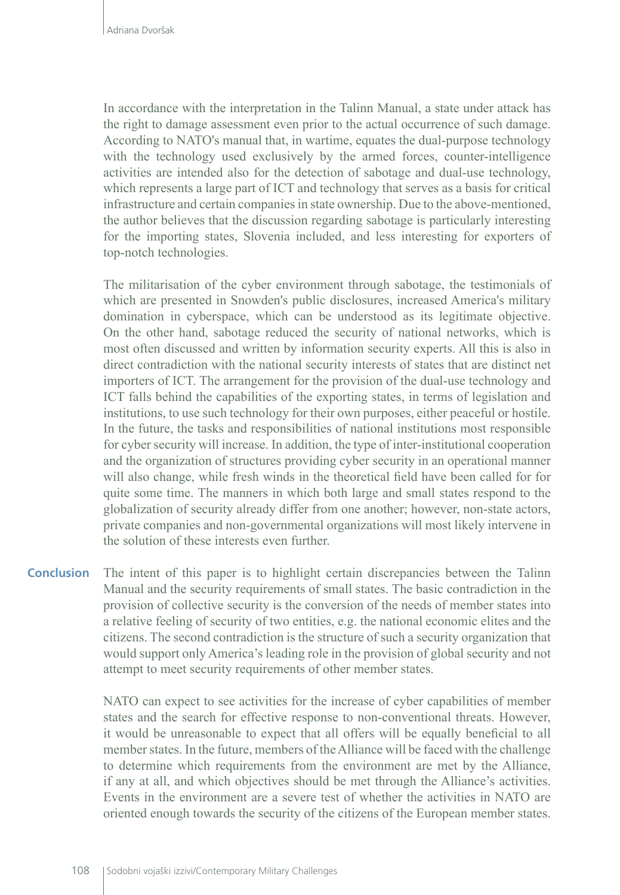In accordance with the interpretation in the Talinn Manual, a state under attack has the right to damage assessment even prior to the actual occurrence of such damage. According to NATO's manual that, in wartime, equates the dual-purpose technology with the technology used exclusively by the armed forces, counter-intelligence activities are intended also for the detection of sabotage and dual-use technology, which represents a large part of ICT and technology that serves as a basis for critical infrastructure and certain companies in state ownership. Due to the above-mentioned, the author believes that the discussion regarding sabotage is particularly interesting for the importing states, Slovenia included, and less interesting for exporters of top-notch technologies.

The militarisation of the cyber environment through sabotage, the testimonials of which are presented in Snowden's public disclosures, increased America's military domination in cyberspace, which can be understood as its legitimate objective. On the other hand, sabotage reduced the security of national networks, which is most often discussed and written by information security experts. All this is also in direct contradiction with the national security interests of states that are distinct net importers of ICT. The arrangement for the provision of the dual-use technology and ICT falls behind the capabilities of the exporting states, in terms of legislation and institutions, to use such technology for their own purposes, either peaceful or hostile. In the future, the tasks and responsibilities of national institutions most responsible for cyber security will increase. In addition, the type of inter-institutional cooperation and the organization of structures providing cyber security in an operational manner will also change, while fresh winds in the theoretical field have been called for for quite some time. The manners in which both large and small states respond to the globalization of security already differ from one another; however, non-state actors, private companies and non-governmental organizations will most likely intervene in the solution of these interests even further.

The intent of this paper is to highlight certain discrepancies between the Talinn Manual and the security requirements of small states. The basic contradiction in the provision of collective security is the conversion of the needs of member states into a relative feeling of security of two entities, e.g. the national economic elites and the citizens. The second contradiction is the structure of such a security organization that would support only America's leading role in the provision of global security and not attempt to meet security requirements of other member states. **Conclusion**

> NATO can expect to see activities for the increase of cyber capabilities of member states and the search for effective response to non-conventional threats. However, it would be unreasonable to expect that all offers will be equally beneficial to all member states. In the future, members of the Alliance will be faced with the challenge to determine which requirements from the environment are met by the Alliance, if any at all, and which objectives should be met through the Alliance's activities. Events in the environment are a severe test of whether the activities in NATO are oriented enough towards the security of the citizens of the European member states.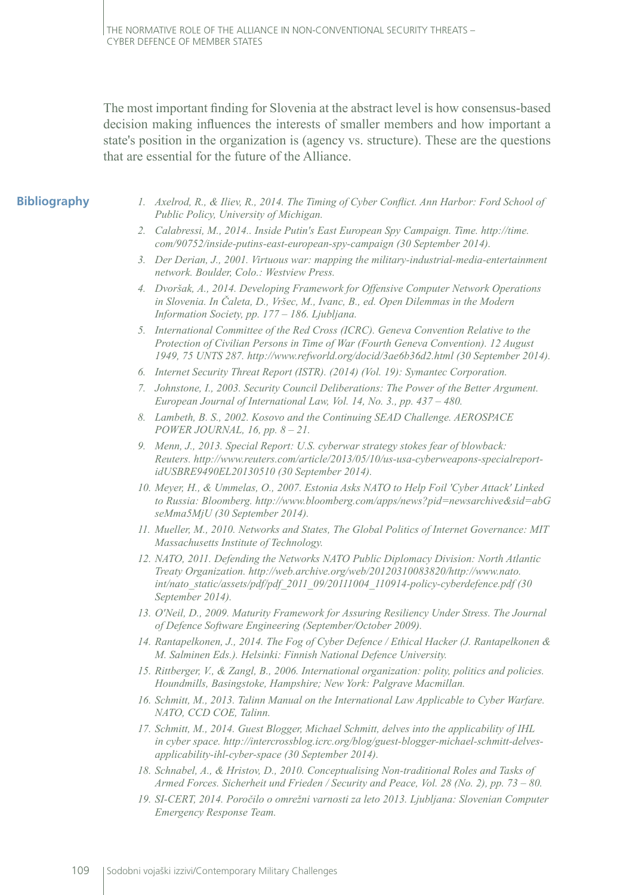The most important finding for Slovenia at the abstract level is how consensus-based decision making influences the interests of smaller members and how important a state's position in the organization is (agency vs. structure). These are the questions that are essential for the future of the Alliance.

#### **Bibliography**

- *1. Axelrod, R., & Iliev, R., 2014. The Timing of Cyber Conflict. Ann Harbor: Ford School of Public Policy, University of Michigan.*
- *2. Calabressi, M., 2014.. Inside Putin's East European Spy Campaign. Time. http://time. com/90752/inside-putins-east-european-spy-campaign (30 September 2014).*
- *3. Der Derian, J., 2001. Virtuous war: mapping the military-industrial-media-entertainment network. Boulder, Colo.: Westview Press.*
- *4. Dvoršak, A., 2014. Developing Framework for Offensive Computer Network Operations in Slovenia. In Čaleta, D., Vršec, M., Ivanc, B., ed. Open Dilemmas in the Modern Information Society, pp. 177 – 186. Ljubljana.*
- *5. International Committee of the Red Cross (ICRC). Geneva Convention Relative to the Protection of Civilian Persons in Time of War (Fourth Geneva Convention). 12 August 1949, 75 UNTS 287. <http://www.refworld.org/docid/3ae6b36d2.html> (30 September 2014).*
- *6. Internet Security Threat Report (ISTR). (2014) (Vol. 19): Symantec Corporation.*
- *7. Johnstone, I., 2003. Security Council Deliberations: The Power of the Better Argument. European Journal of International Law, Vol. 14, No. 3., pp. 437 – 480.*
- *8. Lambeth, B. S., 2002. Kosovo and the Continuing SEAD Challenge. AEROSPACE POWER JOURNAL, 16, pp. 8 – 21.*
- *9. Menn, J., 2013. Special Report: U.S. cyberwar strategy stokes fear of blowback: Reuters. http://www.reuters.com/article/2013/05/10/us-usa-cyberweapons-specialreportidUSBRE9490EL20130510 (30 September 2014).*
- *10. Meyer, H., & Ummelas, O., 2007. Estonia Asks NATO to Help Foil 'Cyber Attack' Linked to Russia: Bloomberg. http://www.bloomberg.com/apps/news?pid=newsarchive&sid=abG seMma5MjU (30 September 2014).*
- *11. Mueller, M., 2010. Networks and States, The Global Politics of Internet Governance: MIT Massachusetts Institute of Technology.*
- *12. NATO, 2011. Defending the Networks NATO Public Diplomacy Division: North Atlantic Treaty Organization. http://web.archive.org/web/20120310083820/http://www.nato. int/nato\_static/assets/pdf/pdf\_2011\_09/20111004\_110914-policy-cyberdefence.pdf (30 September 2014).*
- *13. O'Neil, D., 2009. Maturity Framework for Assuring Resiliency Under Stress. The Journal of Defence Software Engineering (September/October 2009).*
- *14. Rantapelkonen, J., 2014. The Fog of Cyber Defence / Ethical Hacker (J. Rantapelkonen & M. Salminen Eds.). Helsinki: Finnish National Defence University.*
- *15. Rittberger, V., & Zangl, B., 2006. International organization: polity, politics and policies. Houndmills, Basingstoke, Hampshire; New York: Palgrave Macmillan.*
- *16. Schmitt, M., 2013. Talinn Manual on the International Law Applicable to Cyber Warfare. NATO, CCD COE, Talinn.*
- *17. Schmitt, M., 2014. Guest Blogger, Michael Schmitt, delves into the applicability of IHL in cyber space. http://intercrossblog.icrc.org/blog/guest-blogger-michael-schmitt-delvesapplicability-ihl-cyber-space (30 September 2014).*
- *18. Schnabel, A., & Hristov, D., 2010. Conceptualising Non-traditional Roles and Tasks of Armed Forces. Sicherheit und Frieden / Security and Peace, Vol. 28 (No. 2), pp. 73 – 80.*
- *19. SI-CERT, 2014. Poročilo o omrežni varnosti za leto 2013. Ljubljana: Slovenian Computer Emergency Response Team.*